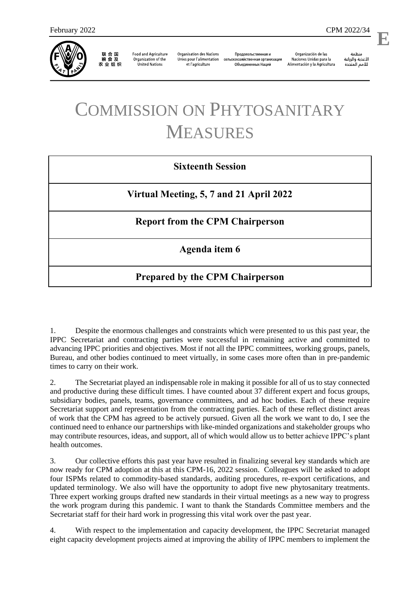

联合国<br>粮食及 农业组织

**Food and Agriculture** Organization of the **United Nations** 

**Organisation des Nations** Unies pour l'alimentation et l'agriculture

Продовольственная и сельскохозяйственная организация Объелиненных Наций

Organización de las Naciones Unidas para la Alimentación y la Agricultura

منظمة الأغذية والزراعة للأمم المتحدة

l,

## COMMISSION ON PHYTOSANITARY MEASURES

## **Sixteenth Session**

**Virtual Meeting, 5, 7 and 21 April 2022**

**Report from the CPM Chairperson**

**Agenda item 6**

## **Prepared by the CPM Chairperson**

1. Despite the enormous challenges and constraints which were presented to us this past year, the IPPC Secretariat and contracting parties were successful in remaining active and committed to advancing IPPC priorities and objectives. Most if not all the IPPC committees, working groups, panels, Bureau, and other bodies continued to meet virtually, in some cases more often than in pre-pandemic times to carry on their work.

2. The Secretariat played an indispensable role in making it possible for all of us to stay connected and productive during these difficult times. I have counted about 37 different expert and focus groups, subsidiary bodies, panels, teams, governance committees, and ad hoc bodies. Each of these require Secretariat support and representation from the contracting parties. Each of these reflect distinct areas of work that the CPM has agreed to be actively pursued. Given all the work we want to do, I see the continued need to enhance our partnerships with like-minded organizations and stakeholder groups who may contribute resources, ideas, and support, all of which would allow us to better achieve IPPC's plant health outcomes.

3. Our collective efforts this past year have resulted in finalizing several key standards which are now ready for CPM adoption at this at this CPM-16, 2022 session. Colleagues will be asked to adopt four ISPMs related to commodity-based standards, auditing procedures, re-export certifications, and updated terminology. We also will have the opportunity to adopt five new phytosanitary treatments. Three expert working groups drafted new standards in their virtual meetings as a new way to progress the work program during this pandemic. I want to thank the Standards Committee members and the Secretariat staff for their hard work in progressing this vital work over the past year.

4. With respect to the implementation and capacity development, the IPPC Secretariat managed eight capacity development projects aimed at improving the ability of IPPC members to implement the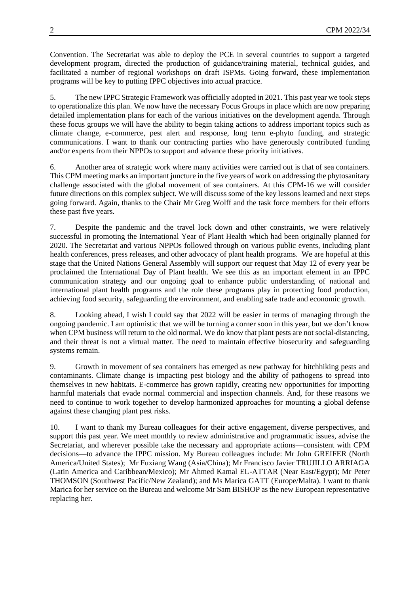Convention. The Secretariat was able to deploy the PCE in several countries to support a targeted development program, directed the production of guidance/training material, technical guides, and facilitated a number of regional workshops on draft ISPMs. Going forward, these implementation programs will be key to putting IPPC objectives into actual practice.

5. The new IPPC Strategic Framework was officially adopted in 2021. This past year we took steps to operationalize this plan. We now have the necessary Focus Groups in place which are now preparing detailed implementation plans for each of the various initiatives on the development agenda. Through these focus groups we will have the ability to begin taking actions to address important topics such as climate change, e-commerce, pest alert and response, long term e-phyto funding, and strategic communications. I want to thank our contracting parties who have generously contributed funding and/or experts from their NPPOs to support and advance these priority initiatives.

6. Another area of strategic work where many activities were carried out is that of sea containers. This CPM meeting marks an important juncture in the five years of work on addressing the phytosanitary challenge associated with the global movement of sea containers. At this CPM-16 we will consider future directions on this complex subject. We will discuss some of the key lessons learned and next steps going forward. Again, thanks to the Chair Mr Greg Wolff and the task force members for their efforts these past five years.

7. Despite the pandemic and the travel lock down and other constraints, we were relatively successful in promoting the International Year of Plant Health which had been originally planned for 2020. The Secretariat and various NPPOs followed through on various public events, including plant health conferences, press releases, and other advocacy of plant health programs. We are hopeful at this stage that the United Nations General Assembly will support our request that May 12 of every year be proclaimed the International Day of Plant health. We see this as an important element in an IPPC communication strategy and our ongoing goal to enhance public understanding of national and international plant health programs and the role these programs play in protecting food production, achieving food security, safeguarding the environment, and enabling safe trade and economic growth.

8. Looking ahead, I wish I could say that 2022 will be easier in terms of managing through the ongoing pandemic. I am optimistic that we will be turning a corner soon in this year, but we don't know when CPM business will return to the old normal. We do know that plant pests are not social-distancing, and their threat is not a virtual matter. The need to maintain effective biosecurity and safeguarding systems remain.

9. Growth in movement of sea containers has emerged as new pathway for hitchhiking pests and contaminants. Climate change is impacting pest biology and the ability of pathogens to spread into themselves in new habitats. E-commerce has grown rapidly, creating new opportunities for importing harmful materials that evade normal commercial and inspection channels. And, for these reasons we need to continue to work together to develop harmonized approaches for mounting a global defense against these changing plant pest risks.

10. I want to thank my Bureau colleagues for their active engagement, diverse perspectives, and support this past year. We meet monthly to review administrative and programmatic issues, advise the Secretariat, and wherever possible take the necessary and appropriate actions—consistent with CPM decisions—to advance the IPPC mission. My Bureau colleagues include: Mr John GREIFER (North America/United States); Mr Fuxiang Wang (Asia/China); Mr Francisco Javier TRUJILLO ARRIAGA (Latin America and Caribbean/Mexico); Mr Ahmed Kamal EL-ATTAR (Near East/Egypt); Mr Peter THOMSON (Southwest Pacific/New Zealand); and Ms Marica GATT (Europe/Malta). I want to thank Marica for her service on the Bureau and welcome Mr Sam BISHOP as the new European representative replacing her.